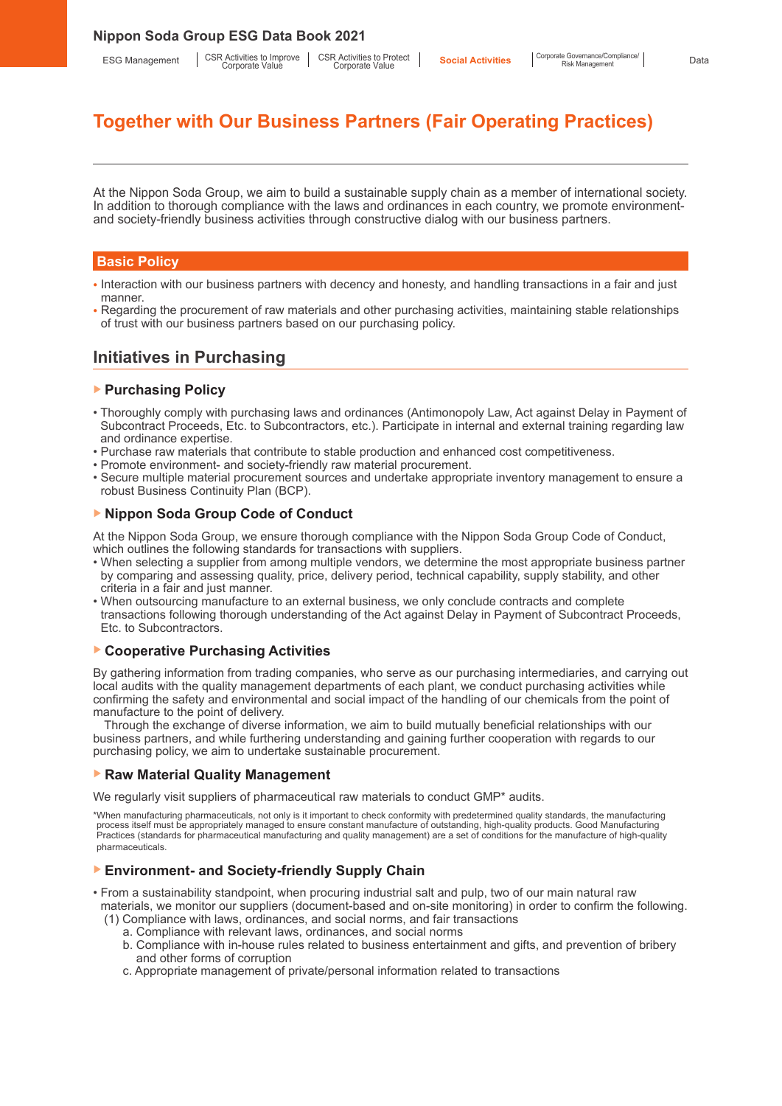# **Together with Our Business Partners (Fair Operating Practices)**

At the Nippon Soda Group, we aim to build a sustainable supply chain as a member of international society. In addition to thorough compliance with the laws and ordinances in each country, we promote environmentand society-friendly business activities through constructive dialog with our business partners.

#### **Basic Policy**

- Interaction with our business partners with decency and honesty, and handling transactions in a fair and just manner.
- Regarding the procurement of raw materials and other purchasing activities, maintaining stable relationships of trust with our business partners based on our purchasing policy.

# **Initiatives in Purchasing**

# ▶ **Purchasing Policy**

- Thoroughly comply with purchasing laws and ordinances (Antimonopoly Law, Act against Delay in Payment of Subcontract Proceeds, Etc. to Subcontractors, etc.). Participate in internal and external training regarding law and ordinance expertise.
- Purchase raw materials that contribute to stable production and enhanced cost competitiveness.
- Promote environment- and society-friendly raw material procurement.
- Secure multiple material procurement sources and undertake appropriate inventory management to ensure a robust Business Continuity Plan (BCP).

#### ▶ **Nippon Soda Group Code of Conduct**

At the Nippon Soda Group, we ensure thorough compliance with the Nippon Soda Group Code of Conduct, which outlines the following standards for transactions with suppliers.

- When selecting a supplier from among multiple vendors, we determine the most appropriate business partner by comparing and assessing quality, price, delivery period, technical capability, supply stability, and other criteria in a fair and just manner.
- When outsourcing manufacture to an external business, we only conclude contracts and complete transactions following thorough understanding of the Act against Delay in Payment of Subcontract Proceeds, Etc. to Subcontractors.

# ▶ **Cooperative Purchasing Activities**

By gathering information from trading companies, who serve as our purchasing intermediaries, and carrying out local audits with the quality management departments of each plant, we conduct purchasing activities while confirming the safety and environmental and social impact of the handling of our chemicals from the point of manufacture to the point of delivery.

Through the exchange of diverse information, we aim to build mutually beneficial relationships with our business partners, and while furthering understanding and gaining further cooperation with regards to our purchasing policy, we aim to undertake sustainable procurement.

#### ▶ **Raw Material Quality Management**

We regularly visit suppliers of pharmaceutical raw materials to conduct GMP\* audits.

\*When manufacturing pharmaceuticals, not only is it important to check conformity with predetermined quality standards, the manufacturing process itself must be appropriately managed to ensure constant manufacture of outstanding, high-quality products. Good Manufacturing Practices (standards for pharmaceutical manufacturing and quality management) are a set of conditions for the manufacture of high-quality pharmaceuticals.

# ▶ **Environment- and Society-friendly Supply Chain**

- From a sustainability standpoint, when procuring industrial salt and pulp, two of our main natural raw materials, we monitor our suppliers (document-based and on-site monitoring) in order to confirm the following.
	- (1) Compliance with laws, ordinances, and social norms, and fair transactions
		- a. Compliance with relevant laws, ordinances, and social norms
		- b. Compliance with in-house rules related to business entertainment and gifts, and prevention of bribery and other forms of corruption
		- c. Appropriate management of private/personal information related to transactions